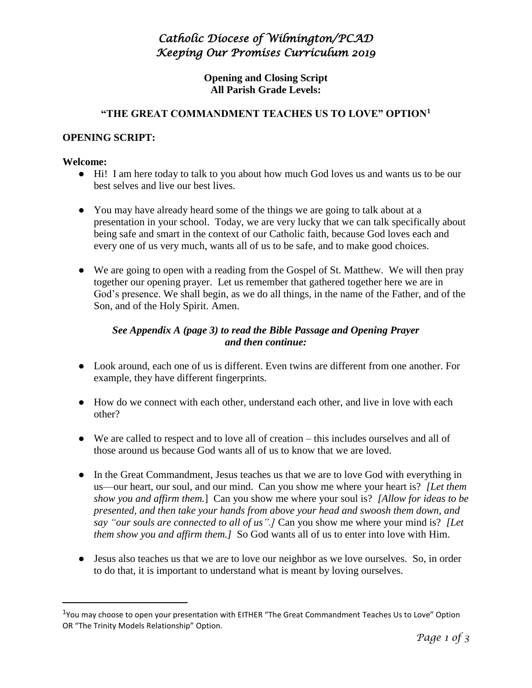## *Catholic Diocese of Wilmington/PCAD Keeping Our Promises Curriculum 2019*

**Opening and Closing Script All Parish Grade Levels:** 

#### **"THE GREAT COMMANDMENT TEACHES US TO LOVE" OPTION<sup>1</sup>**

#### **OPENING SCRIPT:**

#### **Welcome:**

 $\overline{a}$ 

- Hi! I am here today to talk to you about how much God loves us and wants us to be our best selves and live our best lives.
- You may have already heard some of the things we are going to talk about at a presentation in your school. Today, we are very lucky that we can talk specifically about being safe and smart in the context of our Catholic faith, because God loves each and every one of us very much, wants all of us to be safe, and to make good choices.
- We are going to open with a reading from the Gospel of St. Matthew. We will then pray together our opening prayer. Let us remember that gathered together here we are in God's presence. We shall begin, as we do all things, in the name of the Father, and of the Son, and of the Holy Spirit. Amen.

#### *See Appendix A (page 3) to read the Bible Passage and Opening Prayer and then continue:*

- Look around, each one of us is different. Even twins are different from one another. For example, they have different fingerprints.
- How do we connect with each other, understand each other, and live in love with each other?
- We are called to respect and to love all of creation this includes ourselves and all of those around us because God wants all of us to know that we are loved.
- In the Great Commandment, Jesus teaches us that we are to love God with everything in us—our heart, our soul, and our mind. Can you show me where your heart is? *[Let them show you and affirm them.*] Can you show me where your soul is? *[Allow for ideas to be presented, and then take your hands from above your head and swoosh them down, and say "our souls are connected to all of us".]* Can you show me where your mind is? *[Let them show you and affirm them.]* So God wants all of us to enter into love with Him.
- Jesus also teaches us that we are to love our neighbor as we love ourselves. So, in order to do that, it is important to understand what is meant by loving ourselves.

<sup>&</sup>lt;sup>1</sup>You may choose to open your presentation with EITHER "The Great Commandment Teaches Us to Love" Option OR "The Trinity Models Relationship" Option.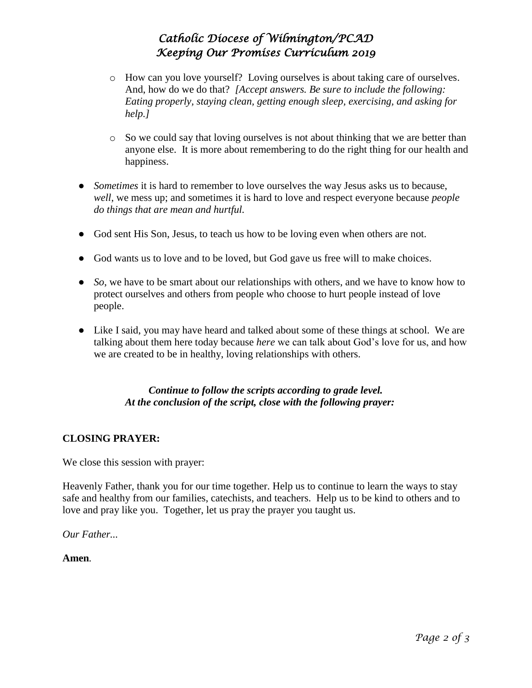# *Catholic Diocese of Wilmington/PCAD Keeping Our Promises Curriculum 2019*

- o How can you love yourself? Loving ourselves is about taking care of ourselves. And, how do we do that? *[Accept answers. Be sure to include the following: Eating properly, staying clean, getting enough sleep, exercising, and asking for help.]*
- $\circ$  So we could say that loving ourselves is not about thinking that we are better than anyone else. It is more about remembering to do the right thing for our health and happiness.
- *Sometimes* it is hard to remember to love ourselves the way Jesus asks us to because, *well*, we mess up; and sometimes it is hard to love and respect everyone because *people do things that are mean and hurtful.*
- God sent His Son, Jesus, to teach us how to be loving even when others are not.
- God wants us to love and to be loved, but God gave us free will to make choices.
- *So*, we have to be smart about our relationships with others, and we have to know how to protect ourselves and others from people who choose to hurt people instead of love people.
- Like I said, you may have heard and talked about some of these things at school. We are talking about them here today because *here* we can talk about God's love for us, and how we are created to be in healthy, loving relationships with others.

### *Continue to follow the scripts according to grade level. At the conclusion of the script, close with the following prayer:*

### **CLOSING PRAYER:**

We close this session with prayer:

Heavenly Father, thank you for our time together. Help us to continue to learn the ways to stay safe and healthy from our families, catechists, and teachers. Help us to be kind to others and to love and pray like you. Together, let us pray the prayer you taught us.

*Our Father...* 

**Amen***.*